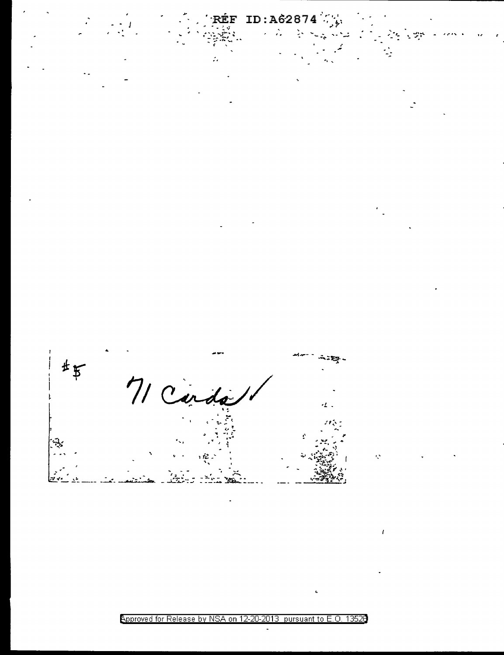

Approved for Release by NSA on 12-20-2013 pursuant to E.O. 13526

Í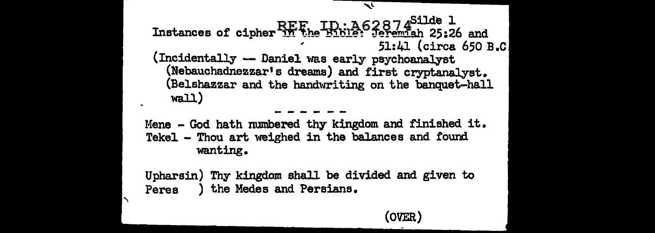### Instances of cipher REF, ID: A62874<sup>Silde</sup> 1 Instances of cipher in the Bible: Jeremiah 25:26 and 51:41 (circa 650 B.C) (Incidentally -- Daniel was early psychoanalyst (Nebauchadnezzar's dreams) and first cryptanalyst. (Belshazzar and the handwriting on the banquet-hall wall)

Mene - God hath numbered thy kingdom and finished it. Tekel - Thou art weighed in the balances and found wanting.

Upharsin) Thy kingdom shall be divided and given to ) the Medes and Persians. Peres

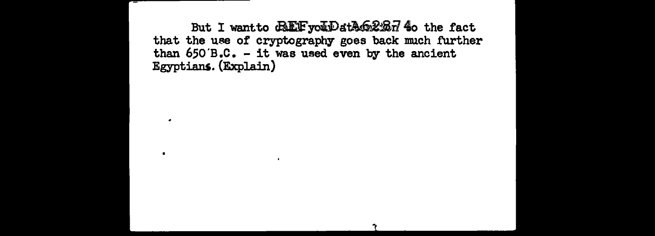But I want to CREF you Date 62 Br 40 the fact that the use of cryptography goes back much further than  $650'B.C.$  - it was used even by the ancient Egyptians. (Explain)

 $\overline{\phantom{a}}$ 

 $\bullet$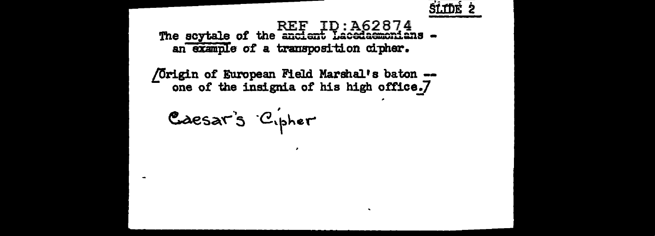

### The scytale of the ancient Lacedaemonians an example of a transposition cipher.

/Origin of European Field Marshal's baton -one of the insignia of his high office.7

Caesar's Cipher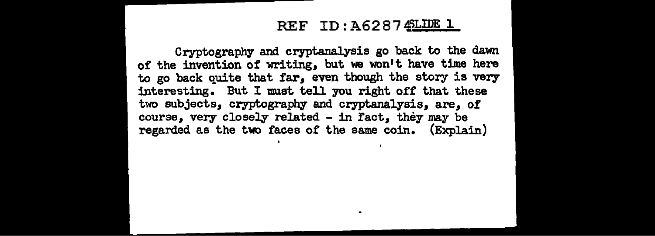### $REF$  ID:  $A628745LDE$  1

Cryptography and cryptanalysis go back to the dawn of the invention of writing, but we won't have time here to go back quite that far, even though the story is very interesting. But I must tell you right off that these two subjects, cryptography and cryptanalysis, are, of course, very closely related - in fact, they may be regarded as the two faces of the same coin. (Explain)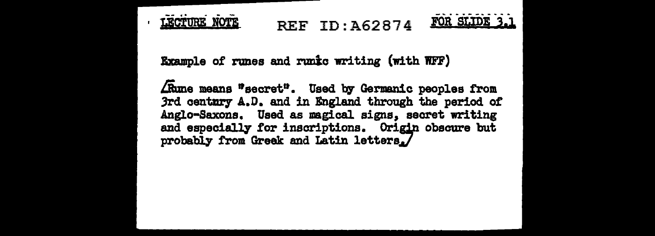

REF ID: A62874



Example of runes and runkc writing (with WFF)

Akme means "secret". Used by Germanic peoples from 3rd century A.D. and in England through the period of Anglo-Saxons. Used as magical signs, secret writing and especially for inscriptions. Origin obscure but probably from Greek and Latin letters.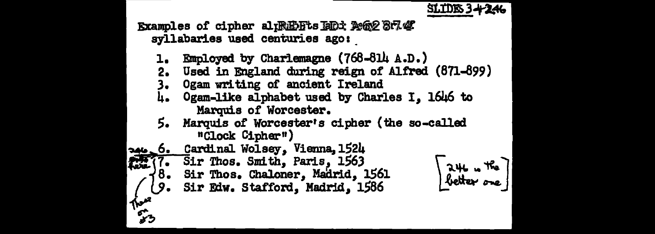



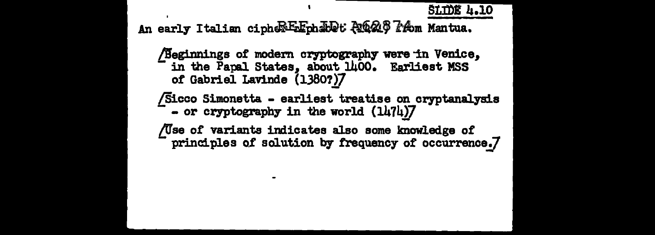**SLIDE 4.10** 

An early Italian cipher Exphable Ana PA Mantua.

Beginnings of modern cryptography were in Venice, in the Papal States, about 1400. Earliest MSS of Gabriel Lavinde (1380?)7

Sicco Simonetta - earliest treatise on cryptanalysis

- or cryptography in the world (1474)7

/Use of variants indicates also some knowledge of principles of solution by frequency of occurrence.7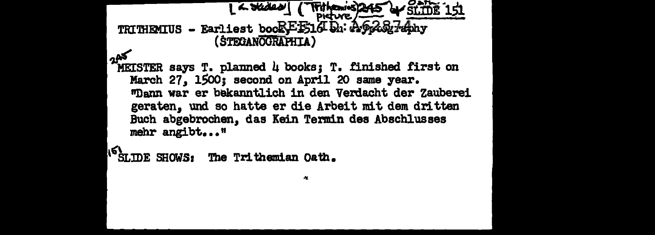```
1 \sim Slides \sim\sim stine 1
                                Fithenies
 TRITHEMIUS - Earliest bookFF1dDa: AG2&7ahy
                (STEGANOGRAPHIA)
كمم
 MEISTER says T. planned 4 books; T. finished first on
   March 27, 1500; second on April 20 same year.
   "Dann war er bekanntlich in den Verdacht der Zauberei
   geraten, und so hatte er die Arbeit mit dem dritten
   Buch abgebrochen, das Kein Termin des Abschlusses
  mehr angibt..."
```
IS SLIDE SHOWS: The Trithemian Oath.

A.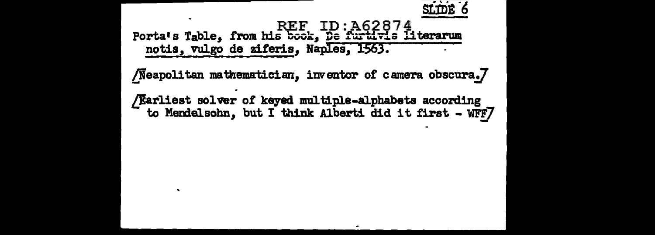

REF ID:A62874<br>Porta's Table, from his book, <u>De furtivis literarum</u> notis, vulgo de ziferis, Naples, 1563.

/Neapolitan mathematician, inventor of camera obscura.7

/ $E$ arliest solver of keyed multiple-alphabets according to Memel.sohn, but I think Alberti did it first - *WFFJ*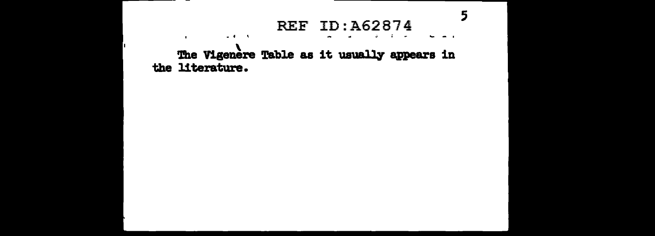### **REF ID: A62874**

5

The Vigenere Table as it usually appears in the literature.

 $\omega \in \mathcal{A}$  . In the

 $\mathbf{r}$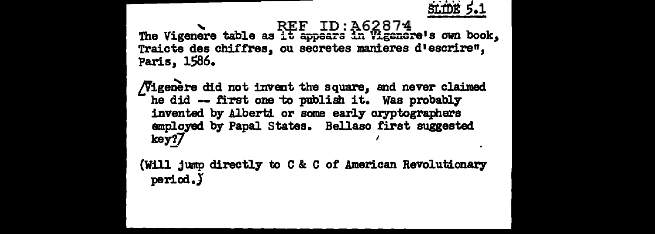

The Vigenere table as it appears in Vigenere's own book, Traicte des chiffres. ou secretes manieres d'escrire". Paris, 1586.

Vigenere did not invent the square, and never claimed he did -- first one to publish it. Was probably invented by Alberti or some early cryptographers employed by Papal States. Bellaso first suggested key?7

(Will jump directly to C & C of American Revolutionary period.)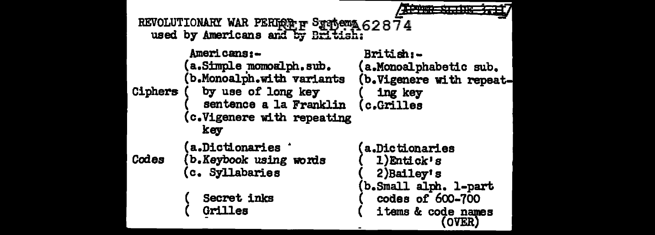| REVOLUTIONARY WAR PERIOR F STADEMA 62874<br>used by Americans and by Briti |                                                                                                                                                                 |                                                                                                                                          |
|----------------------------------------------------------------------------|-----------------------------------------------------------------------------------------------------------------------------------------------------------------|------------------------------------------------------------------------------------------------------------------------------------------|
| Ciphers                                                                    | <b>Americans:-</b><br>(a.Simple momoalph.sub.<br>(b.Monoalph.with variants<br>by use of long key<br>sentence a la Franklin<br>(c.Vigenere with repeating<br>key | British:-<br>(a.Monoalphabetic sub.<br>(b.Vigenere with repeat-<br>ing key<br>(c.Grilles                                                 |
| Codes                                                                      | <b>a.Dictionaries</b><br>(b.Keybook using words<br>c. Syllabaries<br>Secret inks<br>Grilles                                                                     | <b>a.Dictionaries</b><br>1)Entick's<br>$2$ ) Bailey's<br>b.Small alph. 1-part<br>codes of 600-700<br>items & code names<br><b>(OVER)</b> |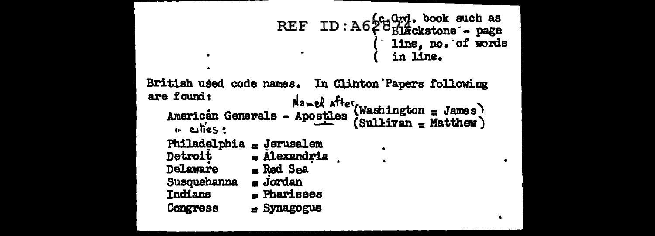```
ID: A6289rd. book such as<br>ID: A628Elackstone - page
                      REF
                                          line, no. of words
                                           in line.
British used code names.
                             In Clinton Papers following
are found:
                        Named after (Washington = James)
   American Generals - Apostles
                                    (Sul<b>itive</b> = Matthew)" eities:
   Philadelphia = Jerusalem
   Detroit
                 - Alexandria
   Delaware
                  Red Sea
   Susquehanna
                  \blacksquare Jordan
   Indians
                  E Pharisees
   Congress
                  = Synagogue
```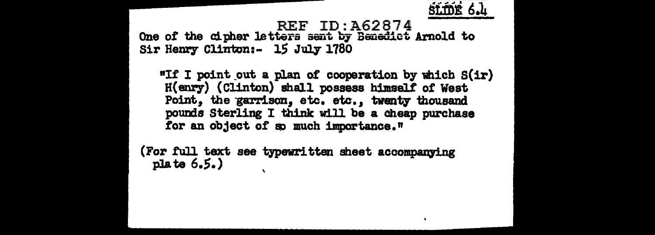

REF ID:A62874 One of the cipher letters sent by Benedict Arnold to Sir Henry Clinton:- 15 July 1780

"If I point out a plan of cooperation by which  $S(ir)$ H(enry) (Clinton) shall possess himselt of West Point, the garrison, etc. etc., twenty thousand pounds Sterling I think will be a cheap purchase for an object of so much importance."

(For full text see typewritten sheet accompanying plate 6.S.)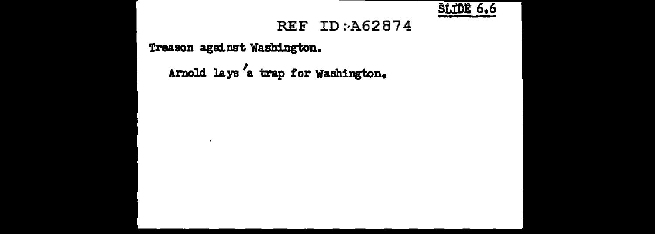

### REF ID: A62874

Treason against Washington.

 $\cdot$ 

Arnold lays */*  a trap for Washington.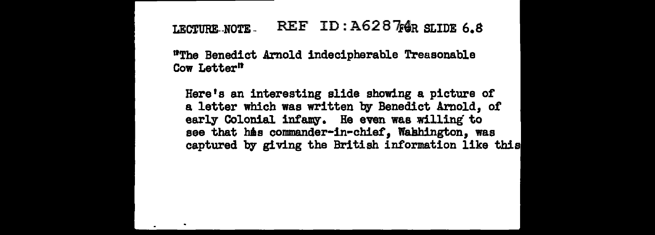### LECTURE-NOTE. REF ID:  $A62876R$  SLIDE 6.8

<sup>1</sup>The Benedict Arnold indecipherable Treasonable Cow Letter"

Here's an interesting slide showing a picture of a letter which was written by Benedict Arnold, of early Colonial infamy. He even was willing to see that his commander-in-chief. Wahhington, was captured by giving the British information like this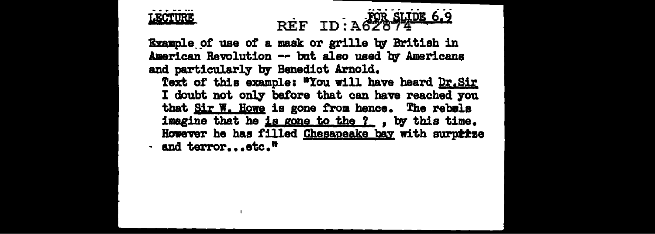

# EXAMPLE REF ID: A62874<br>Example of use of a mask or grille by British in

American Revolution -- but also used by Americans and particularly' by Benedict Arnold.

Text of this example: "You will have beard Dr.Sir I doubt not only before that can have reached you that Sir W. Howe is gone from hence. The rebels imagine that he is gone to the ?.., by this time. However he has filled Chesapeake bay with surptize  $\cdot$  and terror...etc.<sup>n</sup>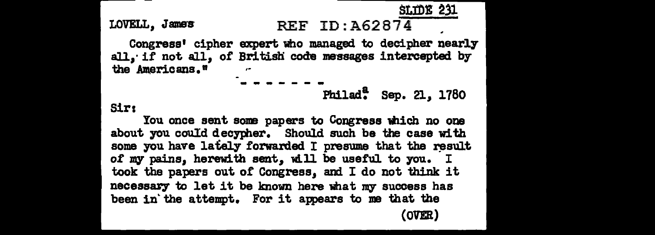StmE 231

#### LOVELL, Jaars REF ID:A62874

Congress• cipher expert who managed to decipher nearly all, if not all, of British code messages intercepted by the Americans."

Philad~ Sep. 21, 1780

Sir:

You once sent some papers to Congress which no one about you could decypher. Should such be the case with some you have lately forwarded I presume that the result of my pains, herewith sent, will be useful to you. I took the papers out of' Congress, and I do not think it necessary to let it be known here what my success has been in the attempt. For it appears to me that the (OVER)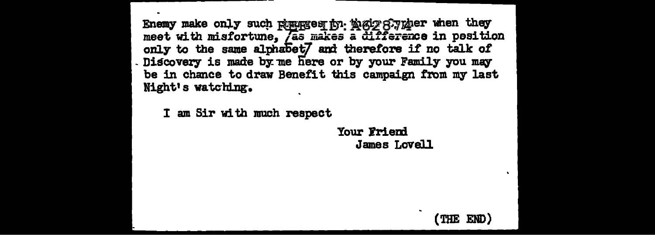Enemy make only such Russes in New Synder when they meet with misfortune, *Jas makes* a difference in position only to the same alphabet7 and therefore if no talk of . Discovery is made by me here or by your Family you may be in chance to draw Benefit this campaign from my last Night's watching.

I am Sir with much respect

Your Friend James Lovell

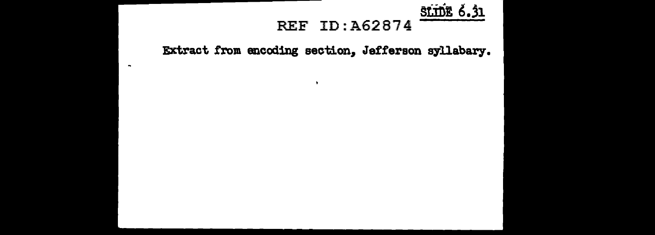### **SLIDE 6.31 REF ID: A62874**

Extract from encoding section, Jefferson syllabary.

 $\bullet$ 

 $\sim$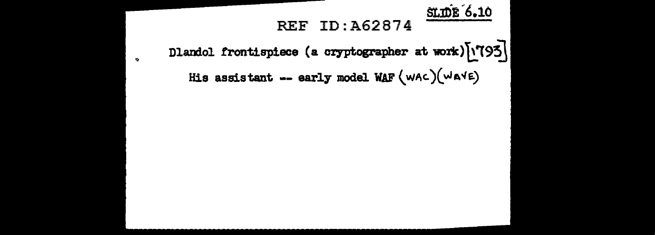**SLIDE 6.10** 

### **REF ID: A62874**

Dlandol frontispiece (a cryptographer at work) [1793] His assistant -- early model WAF  $(wAc)(waVE)$ 

 $\bullet$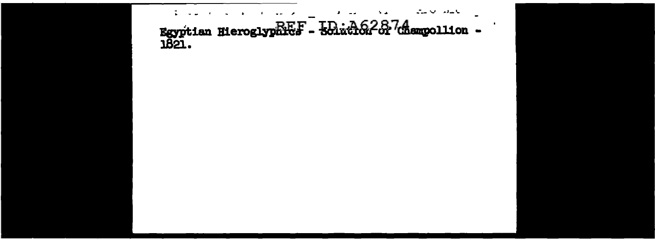Egyptian Hieroglyphies - 501ac162827 (hampollion - $\omega_{\rm{max}}$  or  $\omega_{\rm{max}}$ ٠.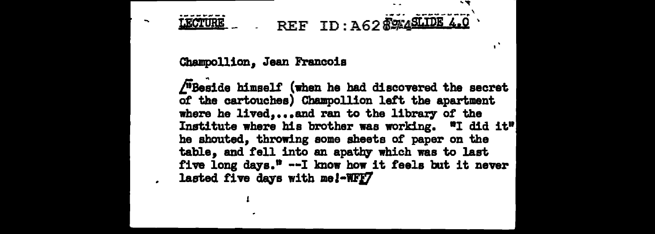### $\mathbb{R}$  . REF ID: A62  $\frac{204515640}{400}$ **LECTURE**

#### Cbampollion, Jean Francois

 $/$ <sup> $\overline{u}$ </sup>Beside himself (when he had discovered the secret of the cartouches) Champollion left the apartment where he lived....and ran to the library of the Institute where his brother was working. •I did it" he shouted, throwing some sheets of paper on the table, and fell into an apathy which was to last five long days."  $-1$  know how it feels but it never lasted five days with me!-WFF7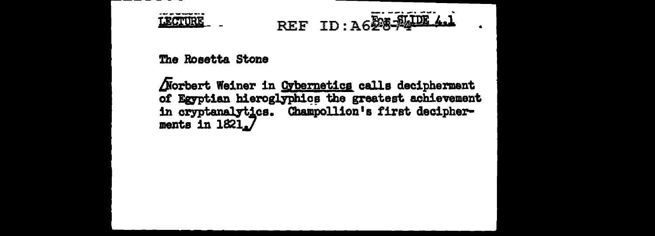

## REF ID: A628-2410E 4.1

The Rosetta Stone

Norbert Weiner in Cybernetics calls decipherment of Egyptian hieroglyphics the greatest achievement in cryptanalytics. Champollion's first decipherments in 1821.7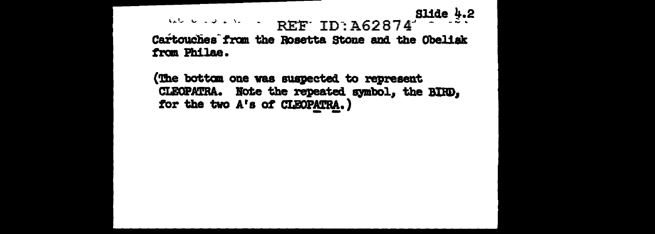Slide  $4.2$ And the set of  $\Delta$  is a fixed of REF ID: A62874 Cartouches from the Rosetta Stone and the Obelisk from Philae.

(The bottom one was suspected to represent CLEOPATRA. Note the repeated symbol, the BIRD. for the two A's of CLEOPATRA.)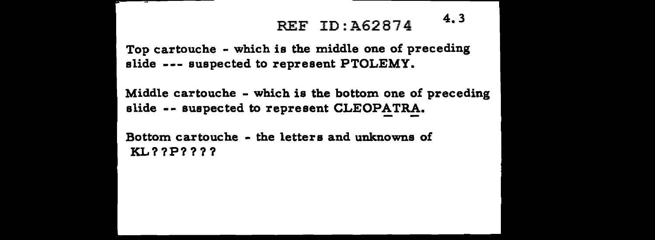### REF ID: A62874 4.3

Top cartouche - which is the middle one of preceding slide --- suspected to represent PTOLEMY.

Middle cartouche - which is the bottom one of preceding slide -- suspected to represent CLEOPATRA.

Bottom cartouche - the letters and unknowns of KL??P????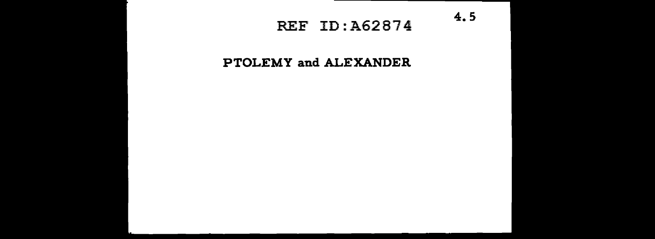### REF ID:A62874 4.5

### **PTOLEMY and ALEXANDER**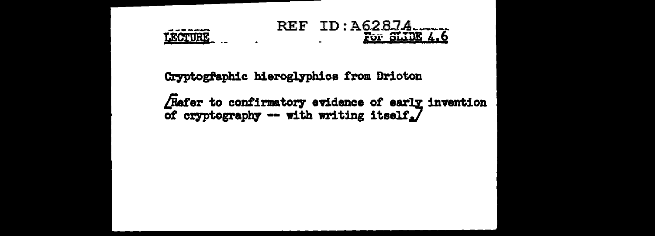

Cryptogfaphic hieroglyphics from Drioton

. . . . . . . .

LECTURE

Refer to confirmatory evidence of early invention of cryptography -- with writing itself. $\overline{J}$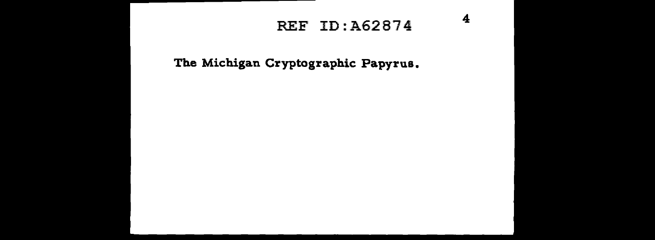### REF ID:A62874 4

The Michigan Cryptographic Papyrus.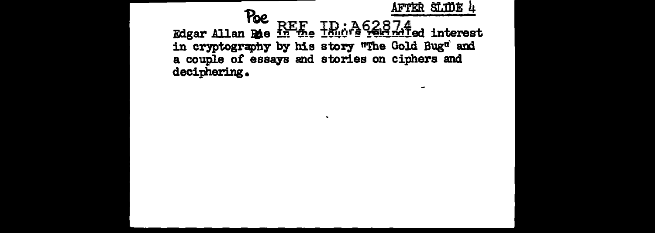

 $\mathbf{r}$ 

 $\rightarrow$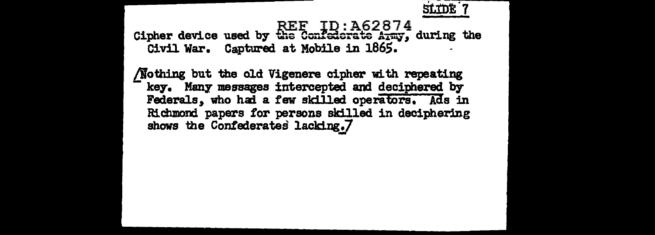#### $REF$   $ID: A62874$ Cipher device used by the Confederate  $A_{T}$ my, during the Civil War. Captured at Mobile in 186S.

/lothing but the old Vigenere cipher with repeating key. Many messages intercepted and deciphered by Federals, who had a few skilled operators. Ads in Richmond papers tor persons skilled in deciphering shows the Confederates lacking.7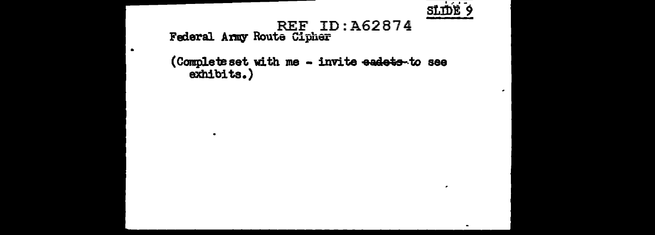

 $\epsilon$ 

 $\blacksquare$ 

 $\bullet$ 

## REF ID:A62874<br>Federal Army Route Cipher

 $\bullet$ 

 $\bullet$ 

(Complete set with me - invite eadets to see exhibits.)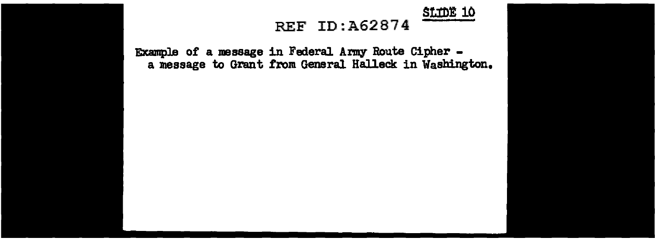StmE 10

### REF ID:A62874

Example of a message in Federal Army Boute Cipher - a message to Grant from General Halleck in Washington.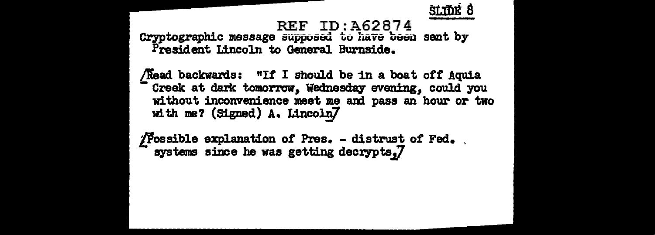### REF ID:A62874

Cryptographic message supposed to have been sent by President Lincoln to General Burnside.

/Read backwards: "If I should be in a boat off Aquia Creek at dark tomorrow, Wednesday evening, could you without inconvenience meet me am pass an hour or two with me? (Signed) A. Lincoln7

 $\sqrt{\frac{1}{2}}$  Possible explanation of Pres. - distrust of Fed. , systems since he was getting decrypts;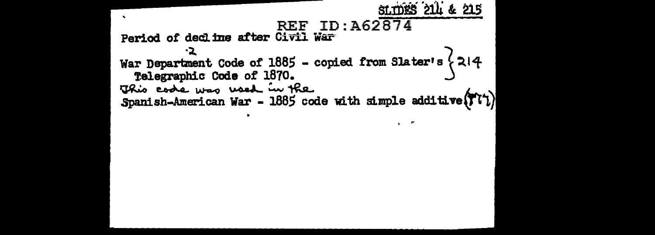```
SLIDES 214 & 215
                       REF ID: A62874
Period of decline after Civil War
         -2
War Department Code of 1885 - copied from Slater's \{214Telegraphic Code of 1870.
This code was used in the
Spanish-American War - 1885 code with simple additive (T(1)
```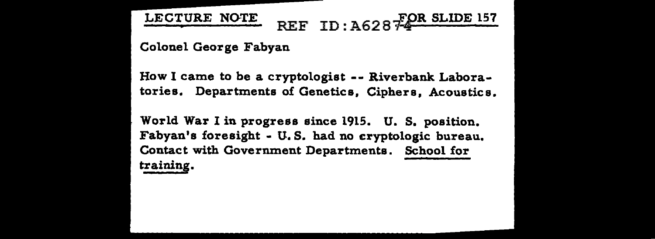LECTURE NOTE REF ID: A628 FOR SLIDE 157

Colonel George Fabyan

How I came to be a cryptologist -- Riverbank Laboratories. Departments of Genetics, Ciphers, Acoustics.

World War I in progress since 1915. U. S. position. Fabyan's foresight - U.S. had no cryptologic bureau. Contact with Government Departments. School for training.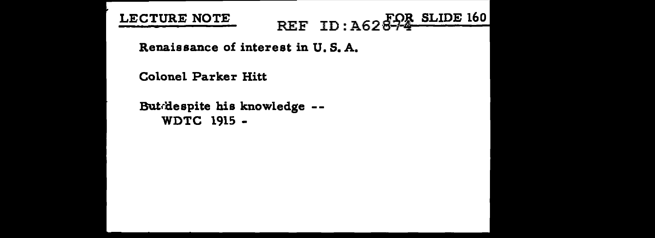LECTURE NOTE

REF ID: A62874 SLIDE 160

Renaissance of interest in U.S. A.

Colonel Parker Hitt

Butdespite his knowledge --WDTC 1915 -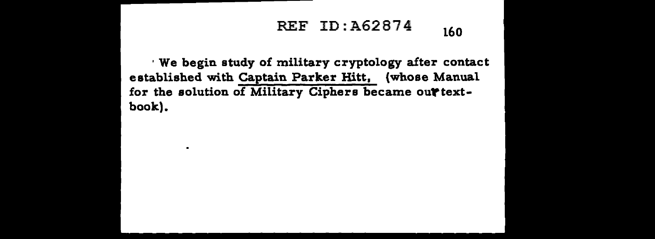## REF ID: A62874 160

· We begin study of military cryptology after contact established with Captain Parker Hitt, (whose Manual for the solution of Military Ciphers became out textbook).

 $\blacksquare$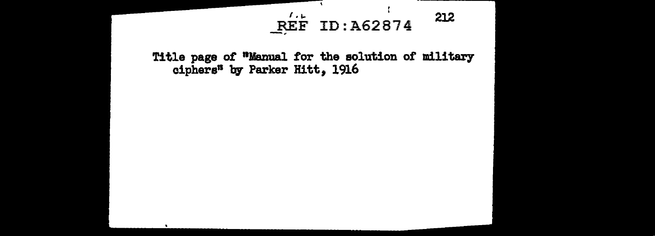## $REF ID: A62874$  212  $\frac{R}{2}$

Title page of "Manual for the solution of military ciphers" by Parker Hitt, 1916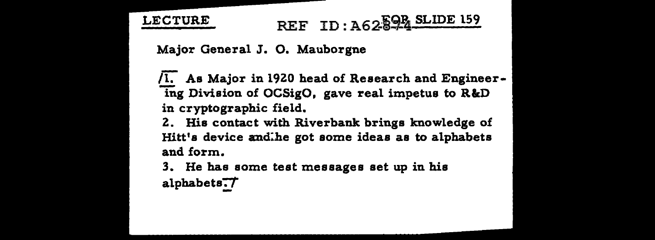# LECTURE REF ID: A 62.594 SLIDE 159

Major General J. 0. Mauborgne

 $\sqrt{1}$ . As Major in 1920 head of Research and Engineering Division of OCSigO, gave real impetus to R&D in cryptographic field.

Z. His contact with Riverbank brings knowledge of Hitt's device and:he got some ideas as to alphabets and form.

3. He has some test messages set up in his

alphabets:J'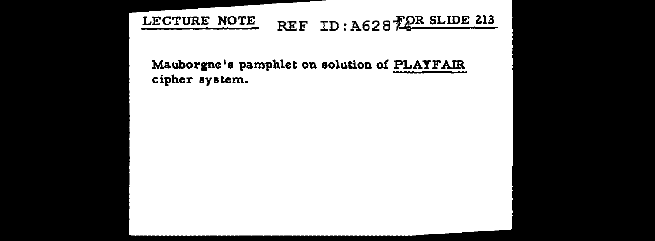## LECTURE NOTE REF ID: A628 FOR SLIDE 213

Mauborgne's pamphlet on solution of PLAYFAIR cipher system.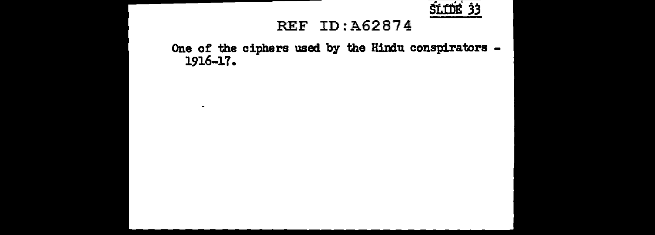

#### REF ID:A62874

One of the ciphers used by the Hindu conspirators -1916-17.

 $\sim$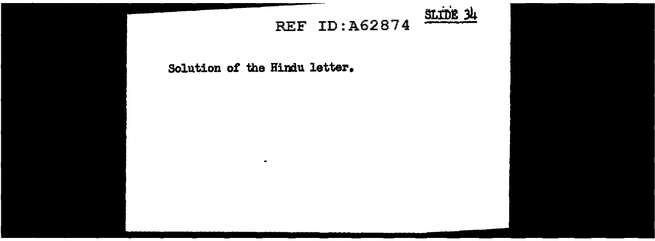

### **REF ID:A62874**

#### Solution of the Hindu letter.

 $\bullet$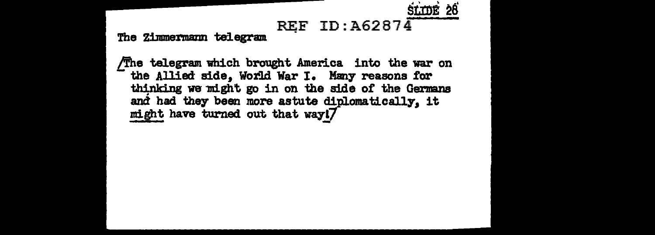

## REF ID:  $A62874$

The Zimmermann telegram

The telegram which brought America into the war on the Allied side, World War I. Many reasons for thinking we might go in on the side of the Germans and had they been more astute diplomatically. it might have turned out that way!7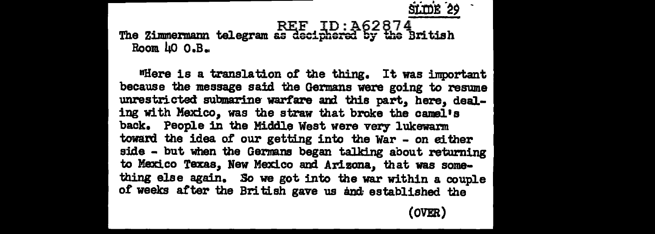st:mi *·29* .

#### REF ID:A62874 The Zimmermann telegram as deciphered by the British Room  $\text{40 } 0.$ B.

nHere is a translation o£ the thing. It was important because the message said the Germans were going to resume unrestricted submarine warfare and this part, here, dealing with Mexico, was the straw that broke the camel's back. People in the Middle West were very lukewarm toward the idea of our getting into the War - on either side - but when the Germans began talking about returning to Mexico Texas, New Mexico and Arizona, that was something else again. *So* we got into the war within a couple of weeks after the British gave us and established the

(OVER)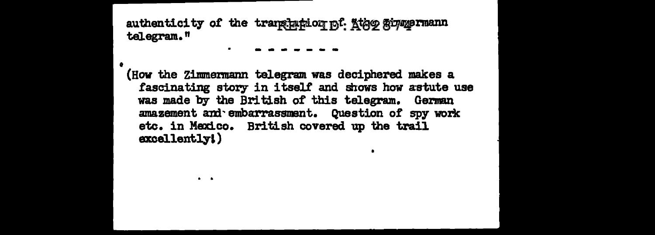authenticity of the translation of Ktag ginmermann telegram."

 $\sim$ 

(How the Zimmermann telegram was deciphered makes a fascinating story in itself and shows how astute use was made by the British of this telegram. German amazement and embarrassment. Question of spy work etc. in Mexico. British covered up the trail excellently!)

 $\bullet$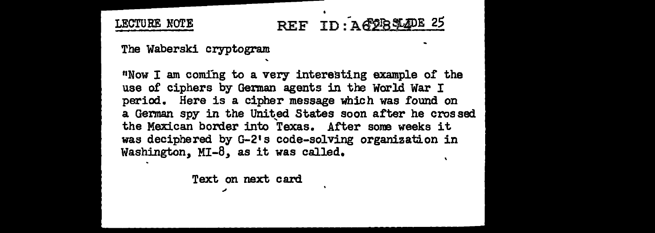## LECTURE NOTE REF ID: AG2BSL4DE 25

The Waberski cryptogram

11Now I am coming to a very interesting example of the use of ciphers by German agents in the World War I period. Here is a cipher message which was found on a German spy in the United States soon after he crossed the Mexican border into Texas. After sone weeks it was deciphered by G-2•s code-solving organization in Washington, MI-8, as it was called.

Text on next card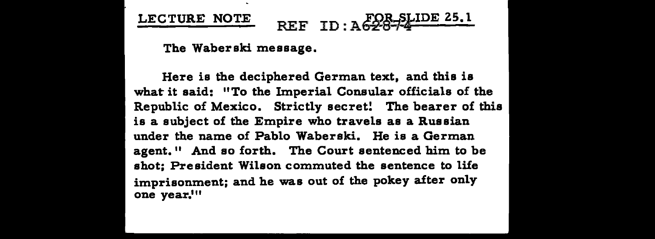# LECTURE NOTE REF ID : A FOR SLIDE 25.1

The Waberski message.

Here is the deciphered German text, and this is what it said: "To the Imperial Consular officials of the Republic of Mexico. Strictly secret! The bearer of this is a subject of the Empire who travels as a Russian under the name of Pablo Waberski. He is a German agent." And so forth. The Court sentenced him to be shot; President Wilson commuted the sentence to life imprisonment; and he was out of the pokey after only one year.<sup>111</sup>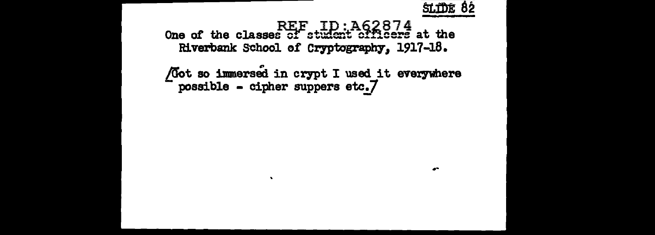

 $\bullet$ 

REF ID:A62874<br>One of the classes of student officers at the Riverbank School of Cryptography, 1917-18.

/Got so immersed in crypt I used\_it everywhere possible - cipher suppers etc.7

 $\bullet$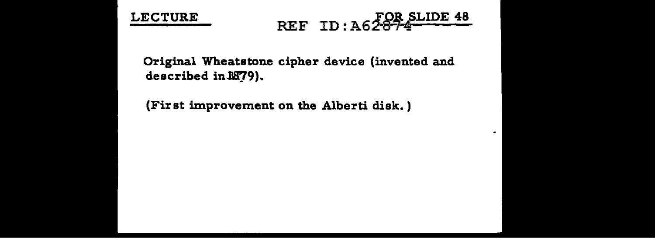



 $\bullet$ 

Original Wheatstone cipher device (invented and described in 1879).

(Fir st improvement on the Alberti disk. )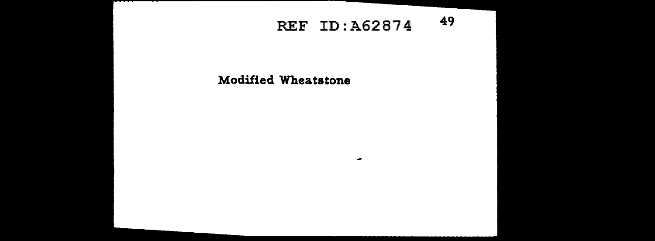## REF ID: A62874 49

٠

Modified Wheatstone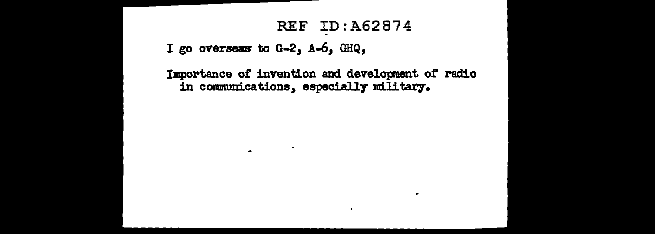### **REF ID: A62874**

I go overseas to G-2, A-6, GHQ,

 $\bullet$ 

Importance of invention and development of radio in communications, especially military.

 $\bullet$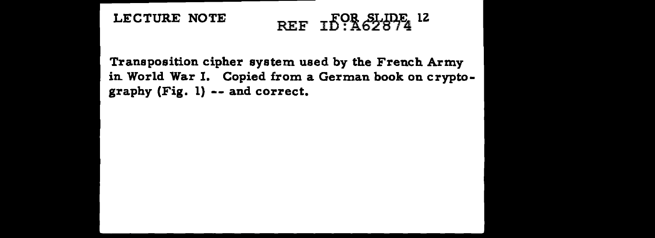## LECTURE NOTE REF  $I_{0.462874}^{0}$  lz

Transposition cipher system used by the French Army in. World War I. Copied from a German book on cryptography (Fig. l) -- and correct.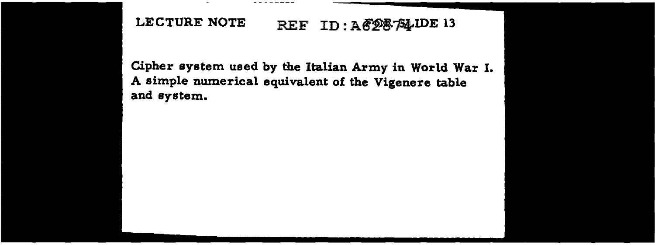### LECTURE NOTE REF ID: A F28-F4-IDE 13

Cipher system used by the Italian Army in World War I. A simple numerical equivalent of the Vigenere table and system.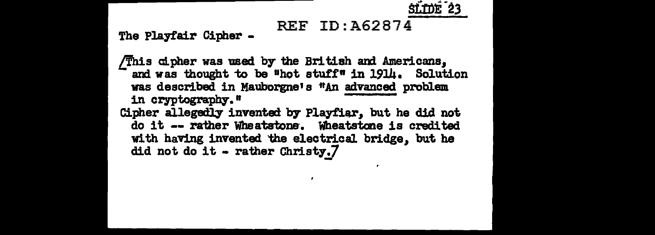

## REF ID:A62874

The Playtair Cipher -

 $/\overline{T}$ his cipher was used by the British and Americans, and was thought to be "hot stuff" in 1914. Solution was described in Mauborgne's "An advanced problem in cryptography." Cipher allegedly invented b7 Playfiar, but he did not

do it -- rather Wheatstone. Wheatstone is credited with having invented the electrical bridge, but he did not do it - rather Christy. $7$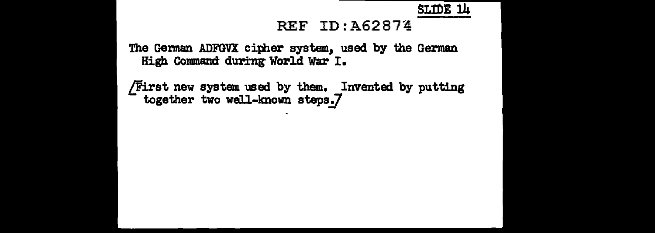SL!OE lJ.i

#### REF ID: A62874

The German ADFGVX cipher system, used by the German High Command during World War I.

 $/First$  new system used by them. Invented by putting together two well-known steps. $7$ 

 $\ddot{\phantom{1}}$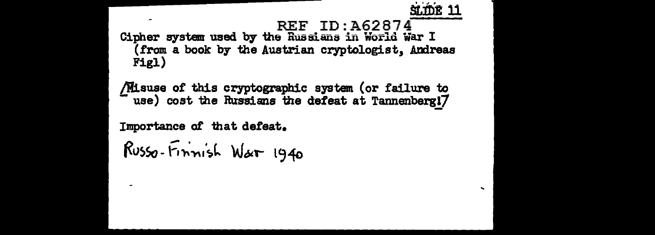sting 11 **REF ID: A62874** Cipher system used by the Russians in World War I (from a book by the Austrian cryptologist, Andreas Figl)

/Misuse of this cryptographic system (or failure to use) cost the Russians the defeat at Tannenberg!7

Importance of that defeat.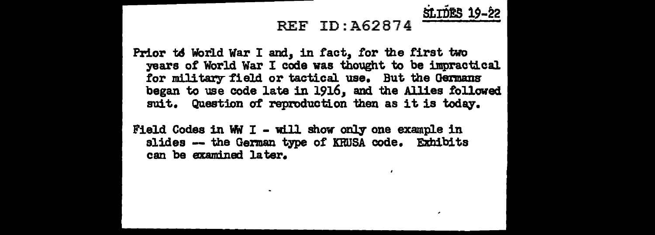#### REF ID:A62874

SLIDES 19-22

Prior to World War I and, in fact, for the first two years of World War I code was thought to be impractical for military field or tactical use. But the Germans began to use code late in 1916, and the Allies followed suit. Question of reproduction then as it is today.

Field Codes in WW I - will show only one example in slides -- the German type of KRUSA code. Exhibits can be examined later.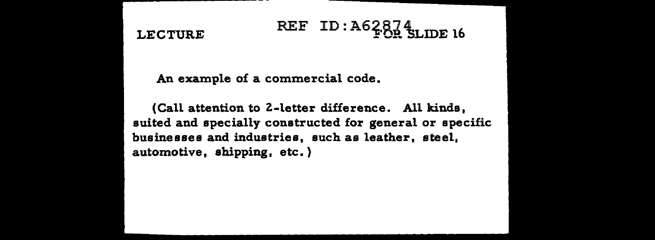# LECTURE REF ID: A62874<br>LECTURE REF ID: A62874

An example of a commercial code.

(Call attention to Z-letter difference. All kinds, suited and specially constructed for general or specific businesses and industries, such as leather, steel, automotive, shipping, etc.)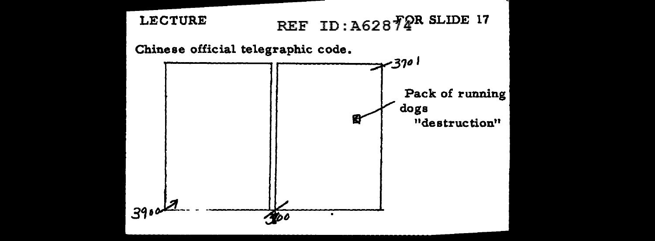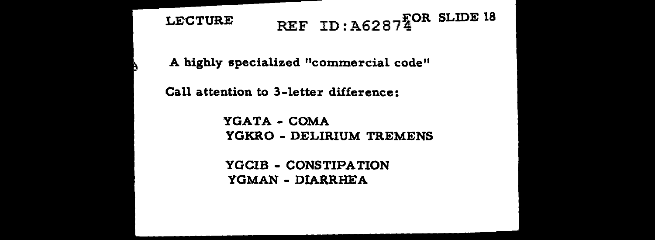# LECTURE REF ID:  $A62874^{\text{FOR}}$  SLIDE 18

A highly specialized "commercial code"

Call attention to 3-letter difference:

YGATA - COMA YGKRO - DELIRIUM TREMENS

YGCIB - CONSTIPATION YGMAN - DIARRHEA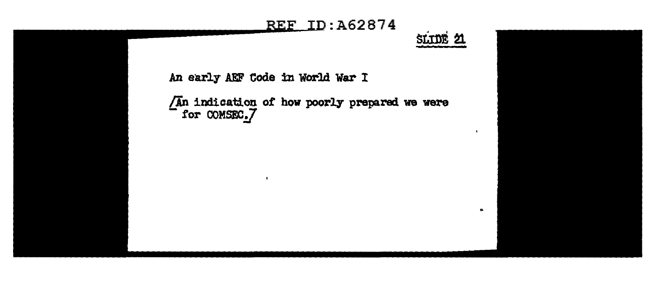## **REF ID: A62874**

SLIDE 21

An early AEF Code in World War I

 $\bullet$ 

 $\sqrt{A}n$  indication of how poorly prepared we were<br>for COMSEC<sub>2</sub>/

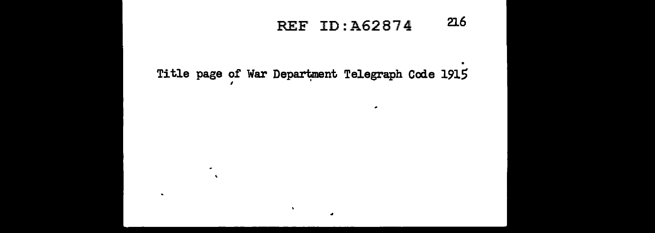#### $216$ REF ID: A62874

 $\mathbf{r}$ 

Title page of War Department Telegraph Code 1915

 $\bullet$  $\Delta$ 

 $\bullet$ 

 $\mathbf{A}$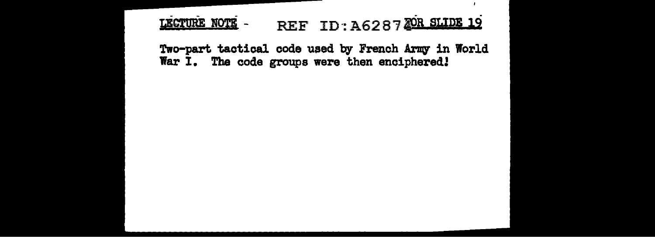REF ID: A6287 TOR SLIDE 19 LECTURE NOTE -

 $\overline{1}$ 

Two-part tactical code used by French Army in World War I. The code groups were then enciphered!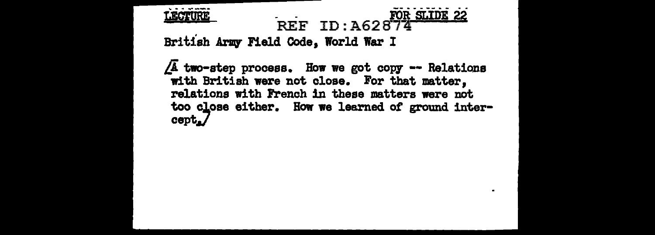

#### FOR SLIDE 22 REF ID: A62874

British Army **Field Code**, World War I

 $\sqrt{A}$  two-step process. How we got copy -- Relations with British were not close. For that matter, relations with French 1n these matters were not too close either. How we learned of ground intercept./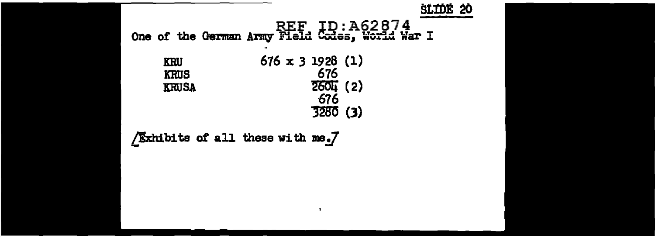

 $\cdot$ 

Exhibits of all these with me.7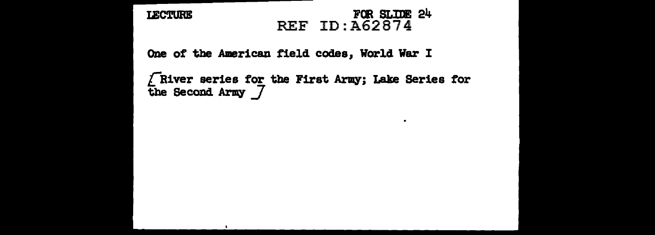**LECTURE** 

#### FOR SLIDE 24 REF ID:A62874

 $\bullet$ 

One of the American field codes, World War I

LRiver series for tbe First Army; Lake Series for the Second Army *J*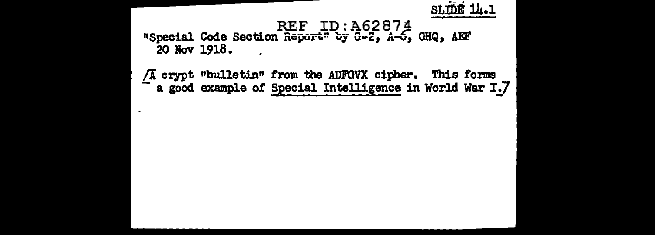

#### REF ID: A62874 "Special Code Section Report" by G-2, A-6, GHQ, AEF 20 Nov 1918.

/A crypt "bulletin" from the ADFGVX cipher. This forms a good example of Special Intelligence in World War I.7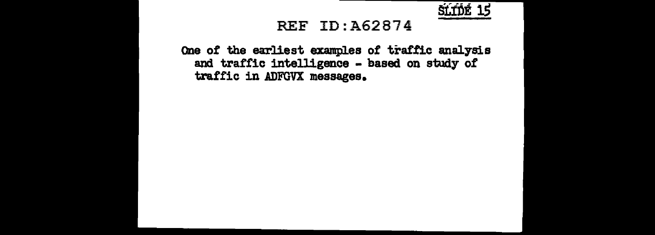

#### REF ID:A62874

One of the earliest examples of traffic analysis and traffic intelligence - based on study of traffic in ADFGVX messages.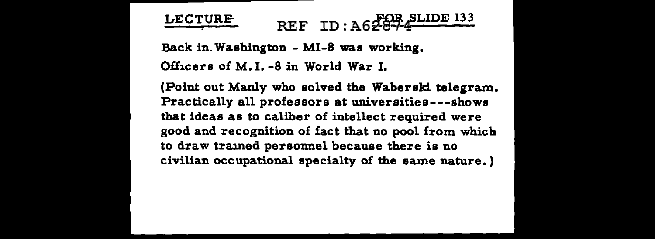# LECTURE REF ID: A6 FOR SLIDE 133

Back in. Washington - MI-8 was working. Officers of M. I. -8 in World War I.

(Point out Manly who solved the Waberski telegram. Practically all professors at universities---shows that ideas as to caliber of intellect required were good and recognition of fact that no pool from which to draw trained personnel because there is no civilian occupational specialty of the same nature.)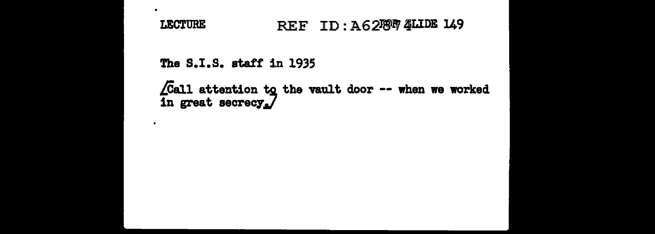#### REF ID: A62787 4LIDE 149 **LECTURE**

The S.I.S. staff in 1935

 $\blacksquare$ 

 $\bullet$ 

 $\sqrt{2}$ call attention to the vault door -- when we worked in great secrecy.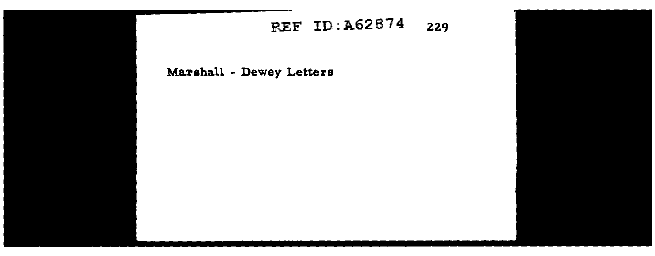## REF ID:A62874 229

Marshall - Dewey Letters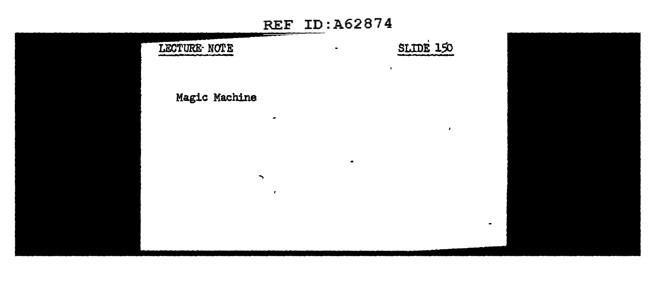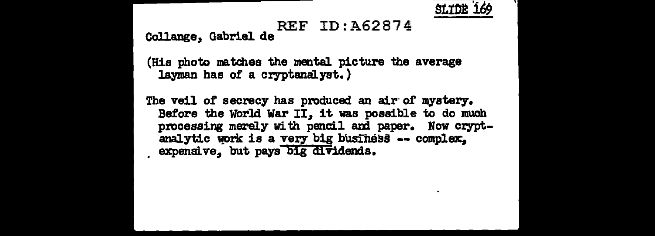

## REF ID:A62874 Collange, Gabriel de

(His photo matches the mental picture the average layman has of a cryptanalyst.)

The veil of secrecy has produced an air of mystery. Before the World War II, it was possible to do much processing merely with pencil and paper. Now cryptanalytic work is a very big business -- complex.  $expendve, but pays  $\overline{b1g}$  dividends.$